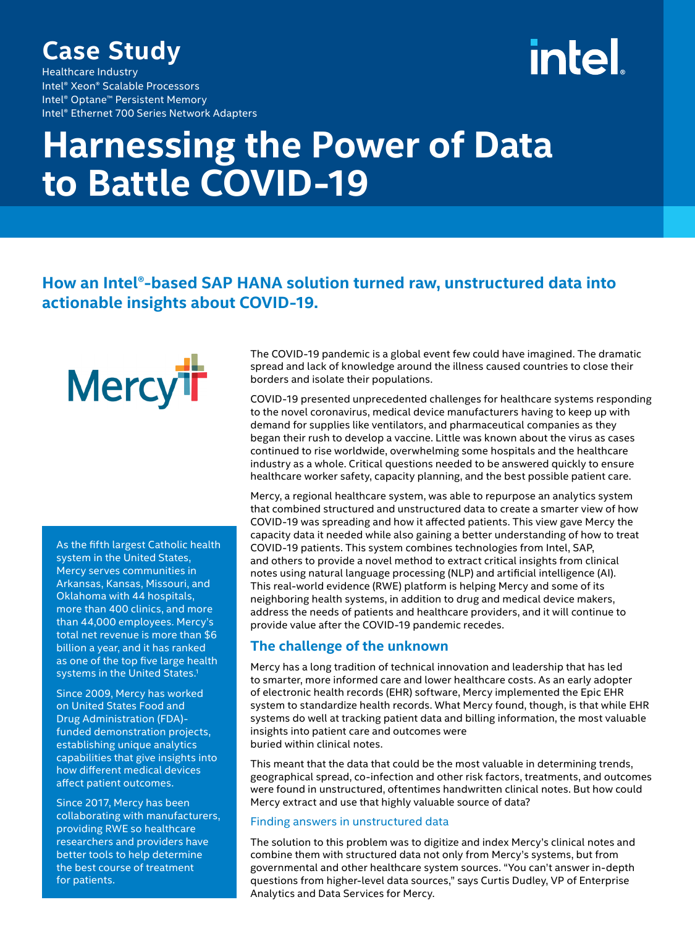### **Case Study**

Healthcare Industry Intel® Xeon® Scalable Processors Intel® Optane™ Persistent Memory Intel® Ethernet 700 Series Network Adapters

## intel

## **Harnessing the Power of Data to Battle COVID-19**

#### **How an Intel®-based SAP HANA solution turned raw, unstructured data into actionable insights about COVID-19.**

**Mercy<sup>i</sup>r** 

As the fifth largest Catholic health system in the United States, Mercy serves communities in Arkansas, Kansas, Missouri, and Oklahoma with 44 hospitals, more than 400 clinics, and more than 44,000 employees. Mercy's total net revenue is more than \$6 billion a year, and it has ranked as one of the top five large health systems in the United States.<sup>1</sup>

Since 2009, Mercy has worked on United States Food and Drug Administration (FDA) funded demonstration projects, establishing unique analytics capabilities that give insights into how different medical devices affect patient outcomes.

Since 2017, Mercy has been collaborating with manufacturers, providing RWE so healthcare researchers and providers have better tools to help determine the best course of treatment for patients.

The COVID-19 pandemic is a global event few could have imagined. The dramatic spread and lack of knowledge around the illness caused countries to close their borders and isolate their populations.

COVID-19 presented unprecedented challenges for healthcare systems responding to the novel coronavirus, medical device manufacturers having to keep up with demand for supplies like ventilators, and pharmaceutical companies as they began their rush to develop a vaccine. Little was known about the virus as cases continued to rise worldwide, overwhelming some hospitals and the healthcare industry as a whole. Critical questions needed to be answered quickly to ensure healthcare worker safety, capacity planning, and the best possible patient care.

Mercy, a regional healthcare system, was able to repurpose an analytics system that combined structured and unstructured data to create a smarter view of how COVID-19 was spreading and how it affected patients. This view gave Mercy the capacity data it needed while also gaining a better understanding of how to treat COVID-19 patients. This system combines technologies from Intel, SAP, and others to provide a novel method to extract critical insights from clinical notes using natural language processing (NLP) and artificial intelligence (AI). This real-world evidence (RWE) platform is helping Mercy and some of its neighboring health systems, in addition to drug and medical device makers, address the needs of patients and healthcare providers, and it will continue to provide value after the COVID-19 pandemic recedes.

#### **The challenge of the unknown**

Mercy has a long tradition of technical innovation and leadership that has led to smarter, more informed care and lower healthcare costs. As an early adopter of electronic health records (EHR) software, Mercy implemented the Epic EHR system to standardize health records. What Mercy found, though, is that while EHR systems do well at tracking patient data and billing information, the most valuable insights into patient care and outcomes were buried within clinical notes.

This meant that the data that could be the most valuable in determining trends, geographical spread, co-infection and other risk factors, treatments, and outcomes were found in unstructured, oftentimes handwritten clinical notes. But how could Mercy extract and use that highly valuable source of data?

#### Finding answers in unstructured data

The solution to this problem was to digitize and index Mercy's clinical notes and combine them with structured data not only from Mercy's systems, but from governmental and other healthcare system sources. "You can't answer in-depth questions from higher-level data sources," says Curtis Dudley, VP of Enterprise Analytics and Data Services for Mercy.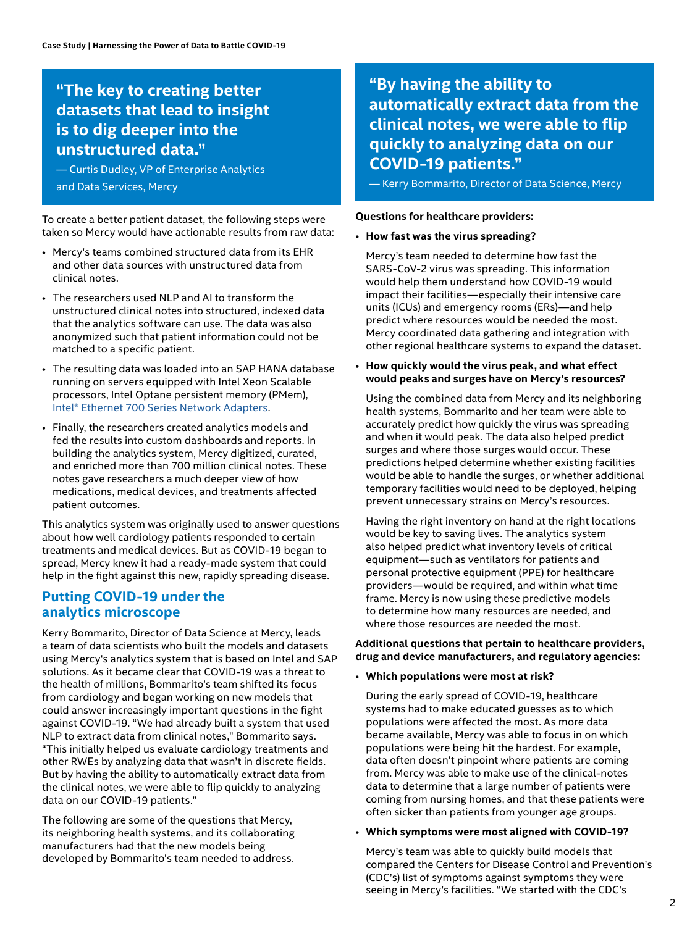#### **"The key to creating better datasets that lead to insight is to dig deeper into the unstructured data."**

— Curtis Dudley, VP of Enterprise Analytics and Data Services, Mercy

To create a better patient dataset, the following steps were taken so Mercy would have actionable results from raw data:

- Mercy's teams combined structured data from its EHR and other data sources with unstructured data from clinical notes.
- The researchers used NLP and AI to transform the unstructured clinical notes into structured, indexed data that the analytics software can use. The data was also anonymized such that patient information could not be matched to a specific patient.
- The resulting data was loaded into an SAP HANA database running on servers equipped with Intel Xeon Scalable processors, Intel Optane persistent memory (PMem)[,](http://www.intel.com/ethernet) [Intel® Ethernet 700 Series](http://www.intel.com/ethernet) [Network Adapters](http://www.intel.com/ethernet).
- Finally, the researchers created analytics models and fed the results into custom dashboards and reports. In building the analytics system, Mercy digitized, curated, and enriched more than 700 million clinical notes. These notes gave researchers a much deeper view of how medications, medical devices, and treatments affected patient outcomes.

This analytics system was originally used to answer questions about how well cardiology patients responded to certain treatments and medical devices. But as COVID-19 began to spread, Mercy knew it had a ready-made system that could help in the fight against this new, rapidly spreading disease.

#### **Putting COVID-19 under the analytics microscope**

Kerry Bommarito, Director of Data Science at Mercy, leads a team of data scientists who built the models and datasets using Mercy's analytics system that is based on Intel and SAP solutions. As it became clear that COVID-19 was a threat to the health of millions, Bommarito's team shifted its focus from cardiology and began working on new models that could answer increasingly important questions in the fight against COVID-19. "We had already built a system that used NLP to extract data from clinical notes," Bommarito says. "This initially helped us evaluate cardiology treatments and other RWEs by analyzing data that wasn't in discrete fields. But by having the ability to automatically extract data from the clinical notes, we were able to flip quickly to analyzing data on our COVID-19 patients."

The following are some of the questions that Mercy, its neighboring health systems, and its collaborating manufacturers had that the new models being developed by Bommarito's team needed to address.

**"By having the ability to automatically extract data from the clinical notes, we were able to flip quickly to analyzing data on our COVID-19 patients."** 

— Kerry Bommarito, Director of Data Science, Mercy

#### **Questions for healthcare providers:**

#### • **How fast was the virus spreading?**

 Mercy's team needed to determine how fast the SARS-CoV-2 virus was spreading. This information would help them understand how COVID-19 would impact their facilities—especially their intensive care units (ICUs) and emergency rooms (ERs)—and help predict where resources would be needed the most. Mercy coordinated data gathering and integration with other regional healthcare systems to expand the dataset.

• **How quickly would the virus peak, and what effect would peaks and surges have on Mercy's resources?**

 Using the combined data from Mercy and its neighboring health systems, Bommarito and her team were able to accurately predict how quickly the virus was spreading and when it would peak. The data also helped predict surges and where those surges would occur. These predictions helped determine whether existing facilities would be able to handle the surges, or whether additional temporary facilities would need to be deployed, helping prevent unnecessary strains on Mercy's resources.

 Having the right inventory on hand at the right locations would be key to saving lives. The analytics system also helped predict what inventory levels of critical equipment—such as ventilators for patients and personal protective equipment (PPE) for healthcare providers—would be required, and within what time frame. Mercy is now using these predictive models to determine how many resources are needed, and where those resources are needed the most.

#### **Additional questions that pertain to healthcare providers, drug and device manufacturers, and regulatory agencies:**

• **Which populations were most at risk?**

 During the early spread of COVID-19, healthcare systems had to make educated guesses as to which populations were affected the most. As more data became available, Mercy was able to focus in on which populations were being hit the hardest. For example, data often doesn't pinpoint where patients are coming from. Mercy was able to make use of the clinical-notes data to determine that a large number of patients were coming from nursing homes, and that these patients were often sicker than patients from younger age groups.

#### • **Which symptoms were most aligned with COVID-19?**

 Mercy's team was able to quickly build models that compared the Centers for Disease Control and Prevention's (CDC's) list of symptoms against symptoms they were seeing in Mercy's facilities. "We started with the CDC's